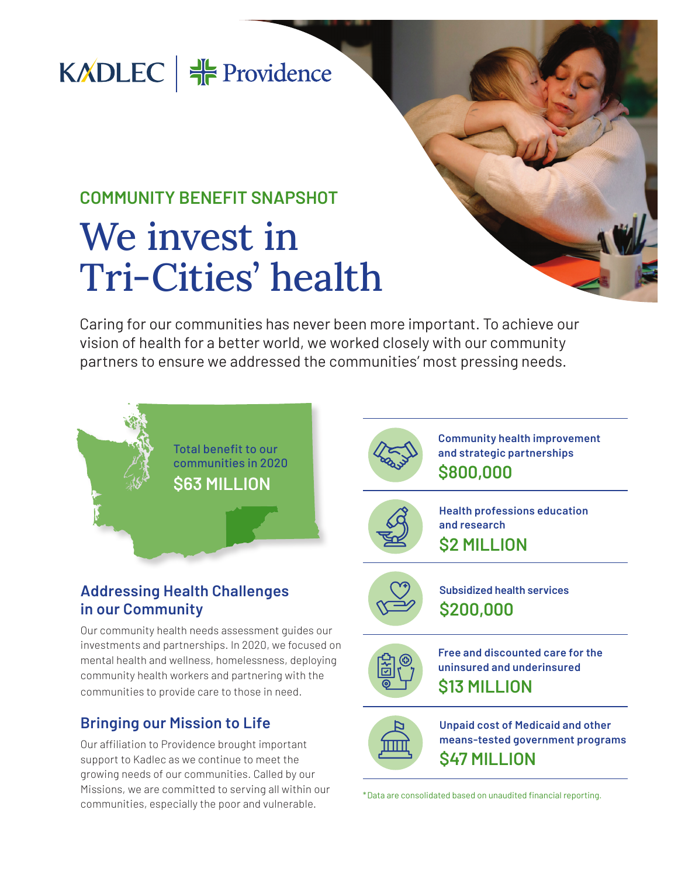## KADLEC  $\frac{16}{16}$  Providence

## **COMMUNITY BENEFIT SNAPSHOT** We invest in Tri-Cities' health

Caring for our communities has never been more important. To achieve our vision of health for a better world, we worked closely with our community partners to ensure we addressed the communities' most pressing needs.



#### **Addressing Health Challenges in our Community**

Our community health needs assessment guides our investments and partnerships. In 2020, we focused on mental health and wellness, homelessness, deploying community health workers and partnering with the communities to provide care to those in need.

#### **Bringing our Mission to Life**

Our affiliation to Providence brought important support to Kadlec as we continue to meet the growing needs of our communities. Called by our Missions, we are committed to serving all within our communities, especially the poor and vulnerable.



**Community health improvement and strategic partnerships \$800,000**



**Health professions education and research \$2 MILLION**



**Subsidized health services \$200,000**



**Free and discounted care for the uninsured and underinsured \$13 MILLION**



**Unpaid cost of Medicaid and other means-tested government programs \$47 MILLION**

\*Data are consolidated based on unaudited financial reporting.